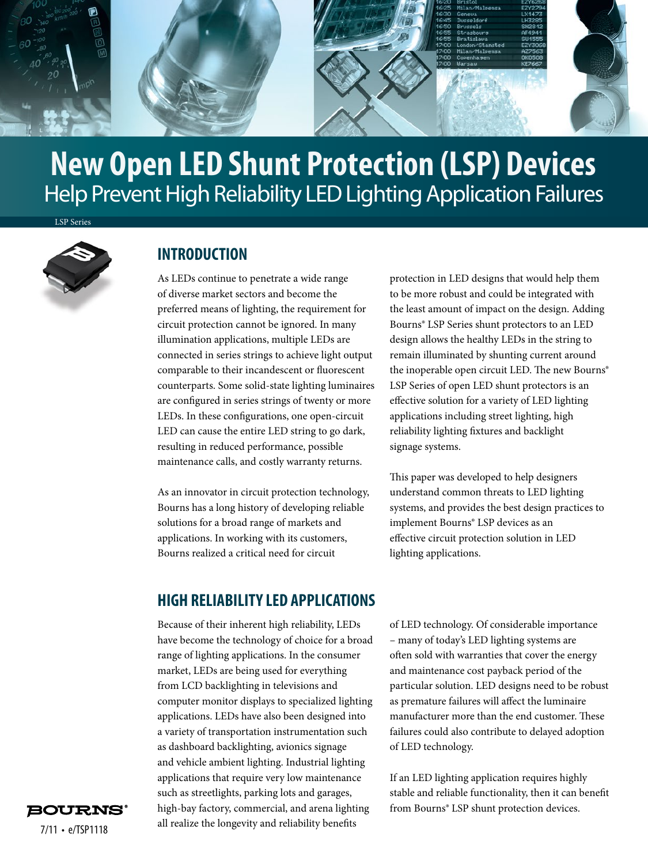

# Help Prevent High Reliability LED Lighting Application Failures **New Open LED Shunt Protection (LSP) Devices**

LSP Series



#### **INTRODUCTION**

As LEDs continue to penetrate a wide range of diverse market sectors and become the preferred means of lighting, the requirement for circuit protection cannot be ignored. In many illumination applications, multiple LEDs are connected in series strings to achieve light output comparable to their incandescent or fluorescent counterparts. Some solid-state lighting luminaires are configured in series strings of twenty or more LEDs. In these configurations, one open-circuit LED can cause the entire LED string to go dark, resulting in reduced performance, possible maintenance calls, and costly warranty returns.

As an innovator in circuit protection technology, Bourns has a long history of developing reliable solutions for a broad range of markets and applications. In working with its customers, Bourns realized a critical need for circuit

protection in LED designs that would help them to be more robust and could be integrated with the least amount of impact on the design. Adding Bourns® LSP Series shunt protectors to an LED design allows the healthy LEDs in the string to remain illuminated by shunting current around the inoperable open circuit LED. The new Bourns® LSP Series of open LED shunt protectors is an effective solution for a variety of LED lighting applications including street lighting, high reliability lighting fixtures and backlight signage systems.

This paper was developed to help designers understand common threats to LED lighting systems, and provides the best design practices to implement Bourns® LSP devices as an effective circuit protection solution in LED lighting applications.

#### **HIGH RELIABILITY LED APPLICATIONS**

Because of their inherent high reliability, LEDs have become the technology of choice for a broad range of lighting applications. In the consumer market, LEDs are being used for everything from LCD backlighting in televisions and computer monitor displays to specialized lighting applications. LEDs have also been designed into a variety of transportation instrumentation such as dashboard backlighting, avionics signage and vehicle ambient lighting. Industrial lighting applications that require very low maintenance such as streetlights, parking lots and garages, high-bay factory, commercial, and arena lighting all realize the longevity and reliability benefits

of LED technology. Of considerable importance – many of today's LED lighting systems are often sold with warranties that cover the energy and maintenance cost payback period of the particular solution. LED designs need to be robust as premature failures will affect the luminaire manufacturer more than the end customer. These failures could also contribute to delayed adoption of LED technology.

If an LED lighting application requires highly stable and reliable functionality, then it can benefit from Bourns® LSP shunt protection devices.

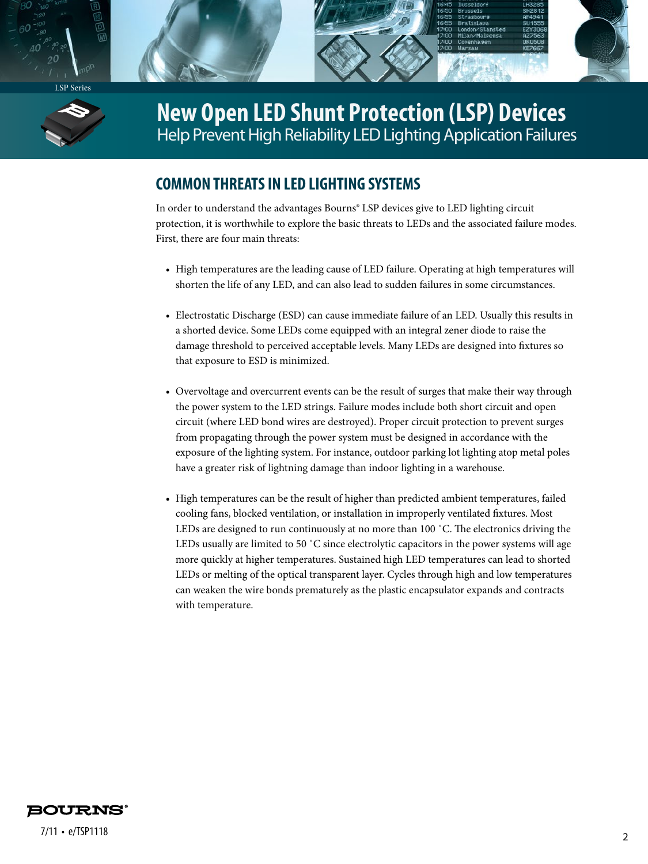



**New Open LED Shunt Protection (LSP) Devices**  Help Prevent High Reliability LED Lighting Application Failures

### **COMMON THREATS IN LED LIGHTING SYSTEMS**

In order to understand the advantages Bourns® LSP devices give to LED lighting circuit protection, it is worthwhile to explore the basic threats to LEDs and the associated failure modes. First, there are four main threats:

- High temperatures are the leading cause of LED failure. Operating at high temperatures will shorten the life of any LED, and can also lead to sudden failures in some circumstances.
- Electrostatic Discharge (ESD) can cause immediate failure of an LED. Usually this results in a shorted device. Some LEDs come equipped with an integral zener diode to raise the damage threshold to perceived acceptable levels. Many LEDs are designed into fixtures so that exposure to ESD is minimized.
- Overvoltage and overcurrent events can be the result of surges that make their way through the power system to the LED strings. Failure modes include both short circuit and open circuit (where LED bond wires are destroyed). Proper circuit protection to prevent surges from propagating through the power system must be designed in accordance with the exposure of the lighting system. For instance, outdoor parking lot lighting atop metal poles have a greater risk of lightning damage than indoor lighting in a warehouse.
- High temperatures can be the result of higher than predicted ambient temperatures, failed cooling fans, blocked ventilation, or installation in improperly ventilated fixtures. Most LEDs are designed to run continuously at no more than 100 ˚C. The electronics driving the LEDs usually are limited to 50 °C since electrolytic capacitors in the power systems will age more quickly at higher temperatures. Sustained high LED temperatures can lead to shorted LEDs or melting of the optical transparent layer. Cycles through high and low temperatures can weaken the wire bonds prematurely as the plastic encapsulator expands and contracts with temperature.

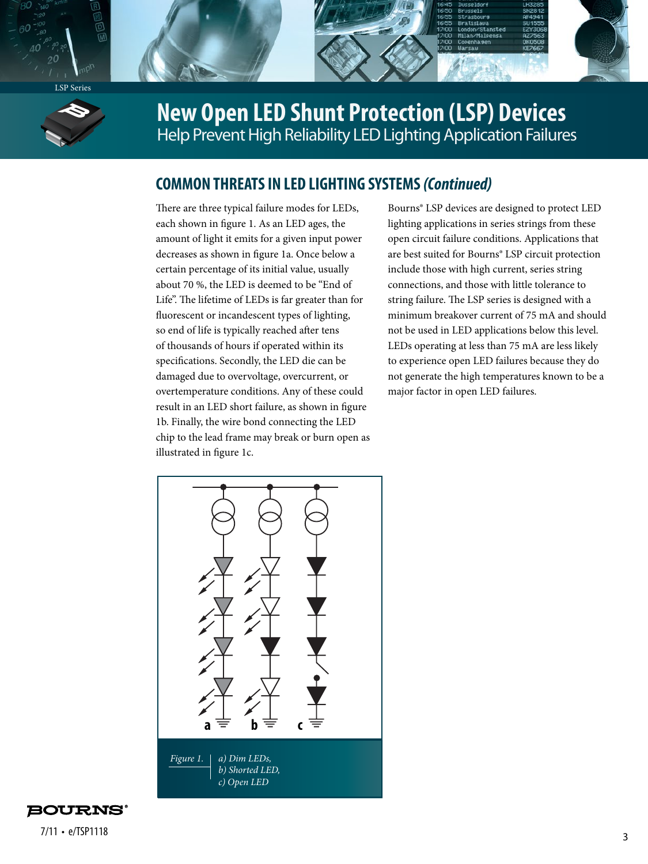



## **New Open LED Shunt Protection (LSP) Devices**  Help Prevent High Reliability LED Lighting Application Failures

### **COMMON THREATS IN LED LIGHTING SYSTEMS** *(Continued)*

There are three typical failure modes for LEDs, each shown in figure 1. As an LED ages, the amount of light it emits for a given input power decreases as shown in figure 1a. Once below a certain percentage of its initial value, usually about 70 %, the LED is deemed to be "End of Life". The lifetime of LEDs is far greater than for fluorescent or incandescent types of lighting, so end of life is typically reached after tens of thousands of hours if operated within its specifications. Secondly, the LED die can be damaged due to overvoltage, overcurrent, or overtemperature conditions. Any of these could result in an LED short failure, as shown in figure 1b. Finally, the wire bond connecting the LED chip to the lead frame may break or burn open as illustrated in figure 1c.

Bourns® LSP devices are designed to protect LED lighting applications in series strings from these open circuit failure conditions. Applications that are best suited for Bourns® LSP circuit protection include those with high current, series string connections, and those with little tolerance to string failure. The LSP series is designed with a minimum breakover current of 75 mA and should not be used in LED applications below this level. LEDs operating at less than 75 mA are less likely to experience open LED failures because they do not generate the high temperatures known to be a major factor in open LED failures.



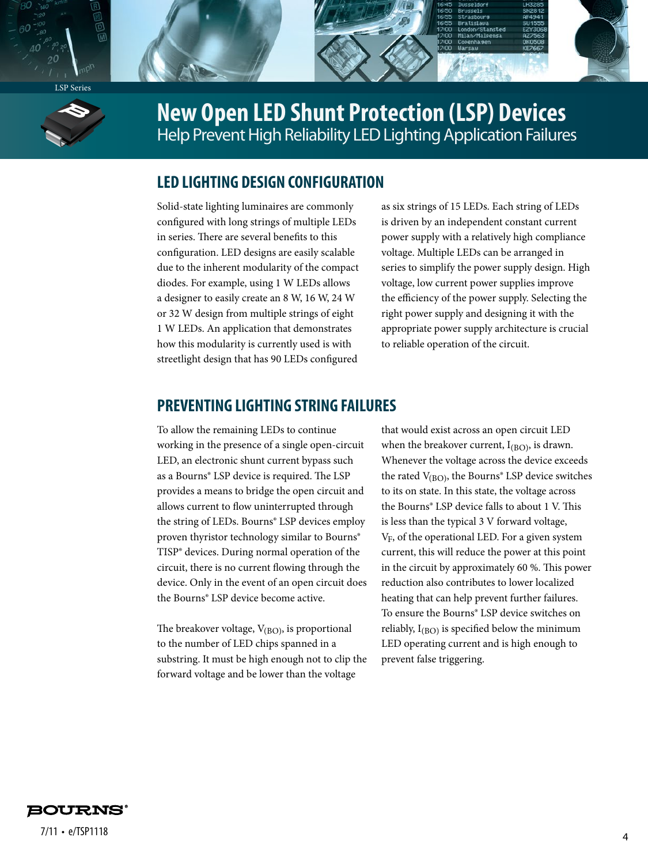



**New Open LED Shunt Protection (LSP) Devices**  Help Prevent High Reliability LED Lighting Application Failures

#### **LED LIGHTING DESIGN CONFIGURATION**

Solid-state lighting luminaires are commonly configured with long strings of multiple LEDs in series. There are several benefits to this configuration. LED designs are easily scalable due to the inherent modularity of the compact diodes. For example, using 1 W LEDs allows a designer to easily create an 8 W, 16 W, 24 W or 32 W design from multiple strings of eight 1 W LEDs. An application that demonstrates how this modularity is currently used is with streetlight design that has 90 LEDs configured

as six strings of 15 LEDs. Each string of LEDs is driven by an independent constant current power supply with a relatively high compliance voltage. Multiple LEDs can be arranged in series to simplify the power supply design. High voltage, low current power supplies improve the efficiency of the power supply. Selecting the right power supply and designing it with the appropriate power supply architecture is crucial to reliable operation of the circuit.

#### **PREVENTING LIGHTING STRING FAILURES**

To allow the remaining LEDs to continue working in the presence of a single open-circuit LED, an electronic shunt current bypass such as a Bourns® LSP device is required. The LSP provides a means to bridge the open circuit and allows current to flow uninterrupted through the string of LEDs. Bourns® LSP devices employ proven thyristor technology similar to Bourns® TISP® devices. During normal operation of the circuit, there is no current flowing through the device. Only in the event of an open circuit does the Bourns® LSP device become active.

The breakover voltage,  $V_{(BO)}$ , is proportional to the number of LED chips spanned in a substring. It must be high enough not to clip the forward voltage and be lower than the voltage

that would exist across an open circuit LED when the breakover current,  $I_{(BO)}$ , is drawn. Whenever the voltage across the device exceeds the rated  $V_{(BO)}$ , the Bourns<sup>®</sup> LSP device switches to its on state. In this state, the voltage across the Bourns® LSP device falls to about 1 V. This is less than the typical 3 V forward voltage,  $V_F$ , of the operational LED. For a given system current, this will reduce the power at this point in the circuit by approximately 60 %. This power reduction also contributes to lower localized heating that can help prevent further failures. To ensure the Bourns® LSP device switches on reliably,  $I_{(BO)}$  is specified below the minimum LED operating current and is high enough to prevent false triggering.

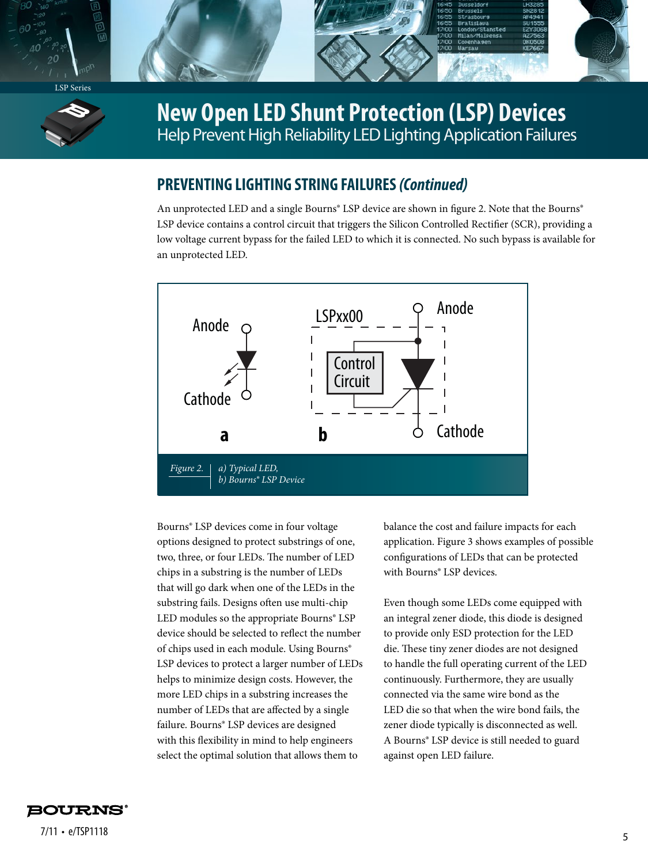



### **New Open LED Shunt Protection (LSP) Devices**  Help Prevent High Reliability LED Lighting Application Failures

### **PREVENTING LIGHTING STRING FAILURES** *(Continued)*

An unprotected LED and a single Bourns<sup>®</sup> LSP device are shown in figure 2. Note that the Bourns<sup>®</sup> LSP device contains a control circuit that triggers the Silicon Controlled Rectifier (SCR), providing a low voltage current bypass for the failed LED to which it is connected. No such bypass is available for an unprotected LED.



Bourns® LSP devices come in four voltage options designed to protect substrings of one, two, three, or four LEDs. The number of LED chips in a substring is the number of LEDs that will go dark when one of the LEDs in the substring fails. Designs often use multi-chip LED modules so the appropriate Bourns® LSP device should be selected to reflect the number of chips used in each module. Using Bourns® LSP devices to protect a larger number of LEDs helps to minimize design costs. However, the more LED chips in a substring increases the number of LEDs that are affected by a single failure. Bourns® LSP devices are designed with this flexibility in mind to help engineers select the optimal solution that allows them to

balance the cost and failure impacts for each application. Figure 3 shows examples of possible configurations of LEDs that can be protected with Bourns® LSP devices.

Even though some LEDs come equipped with an integral zener diode, this diode is designed to provide only ESD protection for the LED die. These tiny zener diodes are not designed to handle the full operating current of the LED continuously. Furthermore, they are usually connected via the same wire bond as the LED die so that when the wire bond fails, the zener diode typically is disconnected as well. A Bourns® LSP device is still needed to guard against open LED failure.

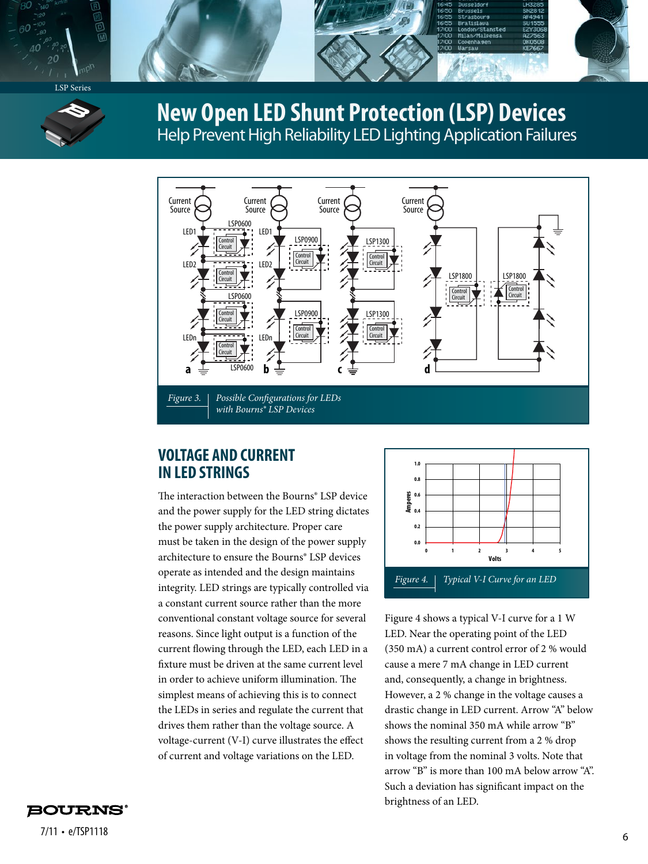



### **New Open LED Shunt Protection (LSP) Devices**  Help Prevent High Reliability LED Lighting Application Failures



### **VOLTAGE AND CURRENT IN LED STRINGS**

The interaction between the Bourns® LSP device and the power supply for the LED string dictates the power supply architecture. Proper care must be taken in the design of the power supply architecture to ensure the Bourns® LSP devices operate as intended and the design maintains integrity. LED strings are typically controlled via a constant current source rather than the more conventional constant voltage source for several reasons. Since light output is a function of the current flowing through the LED, each LED in a fixture must be driven at the same current level in order to achieve uniform illumination. The simplest means of achieving this is to connect the LEDs in series and regulate the current that drives them rather than the voltage source. A voltage-current (V-I) curve illustrates the effect of current and voltage variations on the LED.



Figure 4 shows a typical V-I curve for a 1 W LED. Near the operating point of the LED (350 mA) a current control error of 2 % would cause a mere 7 mA change in LED current and, consequently, a change in brightness. However, a 2 % change in the voltage causes a drastic change in LED current. Arrow "A" below shows the nominal 350 mA while arrow "B" shows the resulting current from a 2 % drop in voltage from the nominal 3 volts. Note that arrow "B" is more than 100 mA below arrow "A". Such a deviation has significant impact on the brightness of an LED.



<sup>6</sup> 7/11 • e/TSP1118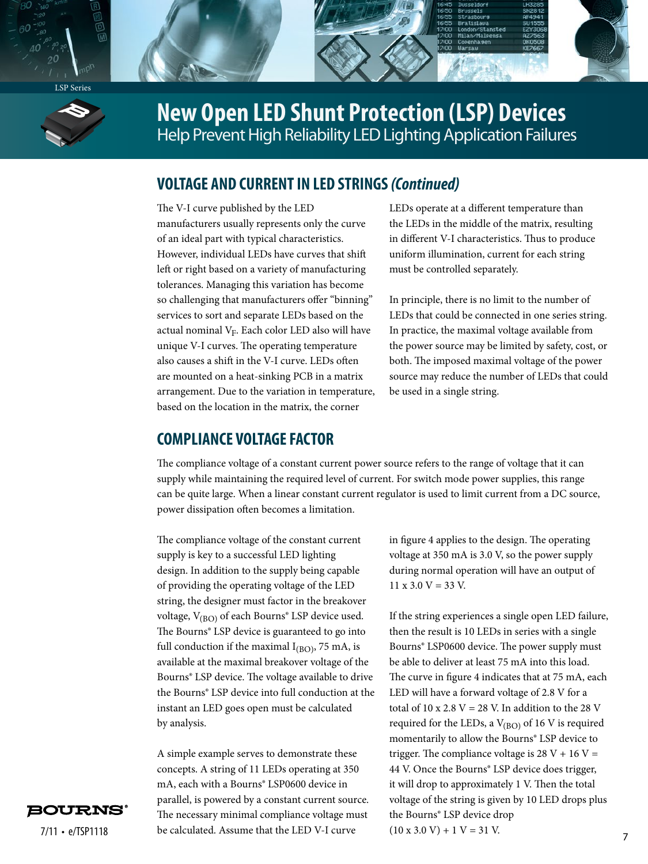



### **New Open LED Shunt Protection (LSP) Devices**  Help Prevent High Reliability LED Lighting Application Failures

### **VOLTAGE AND CURRENT IN LED STRINGS** *(Continued)*

The V-I curve published by the LED manufacturers usually represents only the curve of an ideal part with typical characteristics. However, individual LEDs have curves that shift left or right based on a variety of manufacturing tolerances. Managing this variation has become so challenging that manufacturers offer "binning" services to sort and separate LEDs based on the actual nominal  $V_F$ . Each color LED also will have unique V-I curves. The operating temperature also causes a shift in the V-I curve. LEDs often are mounted on a heat-sinking PCB in a matrix arrangement. Due to the variation in temperature, based on the location in the matrix, the corner

LEDs operate at a different temperature than the LEDs in the middle of the matrix, resulting in different V-I characteristics. Thus to produce uniform illumination, current for each string must be controlled separately.

In principle, there is no limit to the number of LEDs that could be connected in one series string. In practice, the maximal voltage available from the power source may be limited by safety, cost, or both. The imposed maximal voltage of the power source may reduce the number of LEDs that could be used in a single string.

#### **COMPLIANCE VOLTAGE FACTOR**

The compliance voltage of a constant current power source refers to the range of voltage that it can supply while maintaining the required level of current. For switch mode power supplies, this range can be quite large. When a linear constant current regulator is used to limit current from a DC source, power dissipation often becomes a limitation.

The compliance voltage of the constant current supply is key to a successful LED lighting design. In addition to the supply being capable of providing the operating voltage of the LED string, the designer must factor in the breakover voltage,  $V_{(BO)}$  of each Bourns<sup>®</sup> LSP device used. The Bourns® LSP device is guaranteed to go into full conduction if the maximal  $I_{(BO)}$ , 75 mA, is available at the maximal breakover voltage of the Bourns® LSP device. The voltage available to drive the Bourns® LSP device into full conduction at the instant an LED goes open must be calculated by analysis.

 $7/11 \cdot e / T$ SP1118 be calculated. Assume that the LED V-I curve  $(10 \times 3.0 \text{ V}) + 1 \text{ V} = 31 \text{ V}$ . A simple example serves to demonstrate these concepts. A string of 11 LEDs operating at 350 mA, each with a Bourns® LSP0600 device in parallel, is powered by a constant current source. The necessary minimal compliance voltage must

in figure 4 applies to the design. The operating voltage at 350 mA is 3.0 V, so the power supply during normal operation will have an output of  $11 \times 3.0 \text{ V} = 33 \text{ V}$ .

If the string experiences a single open LED failure, then the result is 10 LEDs in series with a single Bourns® LSP0600 device. The power supply must be able to deliver at least 75 mA into this load. The curve in figure 4 indicates that at 75 mA, each LED will have a forward voltage of 2.8 V for a total of 10 x 2.8 V = 28 V. In addition to the 28 V required for the LEDs, a  $V_{(BO)}$  of 16 V is required momentarily to allow the Bourns® LSP device to trigger. The compliance voltage is  $28 V + 16 V =$ 44 V. Once the Bourns® LSP device does trigger, it will drop to approximately 1 V. Then the total voltage of the string is given by 10 LED drops plus the Bourns® LSP device drop  $(10 \times 3.0 \text{ V}) + 1 \text{ V} = 31 \text{ V}$ .

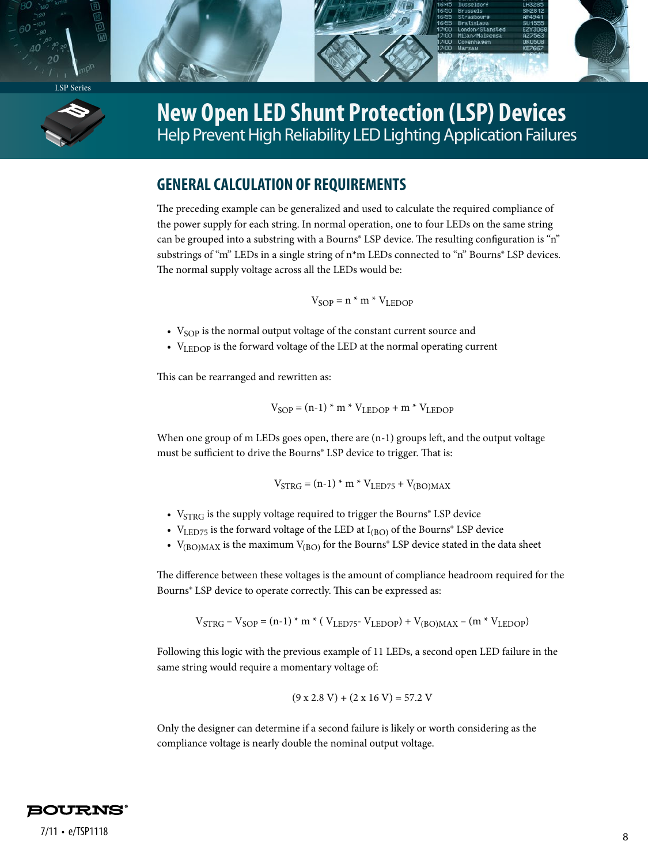



### **New Open LED Shunt Protection (LSP) Devices**  Help Prevent High Reliability LED Lighting Application Failures

### **GENERAL CALCULATION OF REQUIREMENTS**

The preceding example can be generalized and used to calculate the required compliance of the power supply for each string. In normal operation, one to four LEDs on the same string can be grouped into a substring with a Bourns® LSP device. The resulting configuration is "n" substrings of "m" LEDs in a single string of n<sup>\*</sup>m LEDs connected to "n" Bourns<sup>®</sup> LSP devices. The normal supply voltage across all the LEDs would be:

 $V<sub>SOP</sub> = n * m * V<sub>LEDOP</sub>$ 

- $V<sub>SOP</sub>$  is the normal output voltage of the constant current source and
- VLEDOP is the forward voltage of the LED at the normal operating current

This can be rearranged and rewritten as:

$$
V_{SOP} = (n-1) * m * V_{LEDOP} + m * V_{LEDOP}
$$

When one group of  $m$  LEDs goes open, there are  $(n-1)$  groups left, and the output voltage must be sufficient to drive the Bourns® LSP device to trigger. That is:

$$
\mathrm{V_{STRG}} = \mathrm{(n\text{-}1)} \star \mathrm{m} \star \mathrm{V_{LED75}} + \mathrm{V_{(BO)MAX}}
$$

- $V_{STRG}$  is the supply voltage required to trigger the Bourns<sup>®</sup> LSP device
- $V_{LED75}$  is the forward voltage of the LED at  $I_{(BO)}$  of the Bourns<sup>®</sup> LSP device
- $V_{(BO)MAX}$  is the maximum  $V_{(BO)}$  for the Bourns<sup>®</sup> LSP device stated in the data sheet

The difference between these voltages is the amount of compliance headroom required for the Bourns® LSP device to operate correctly. This can be expressed as:

$$
\rm{V}_{STRG}-\rm{V}_{SOP}=(n\text{-}1)*m*(\rm{V}_{LED75}\text{-}\rm{V}_{LEDOP})+\rm{V}_{(BO)MAX}-(m*\rm{V}_{LEDOP})
$$

Following this logic with the previous example of 11 LEDs, a second open LED failure in the same string would require a momentary voltage of:

$$
(9 \times 2.8 \text{ V}) + (2 \times 16 \text{ V}) = 57.2 \text{ V}
$$

Only the designer can determine if a second failure is likely or worth considering as the compliance voltage is nearly double the nominal output voltage.

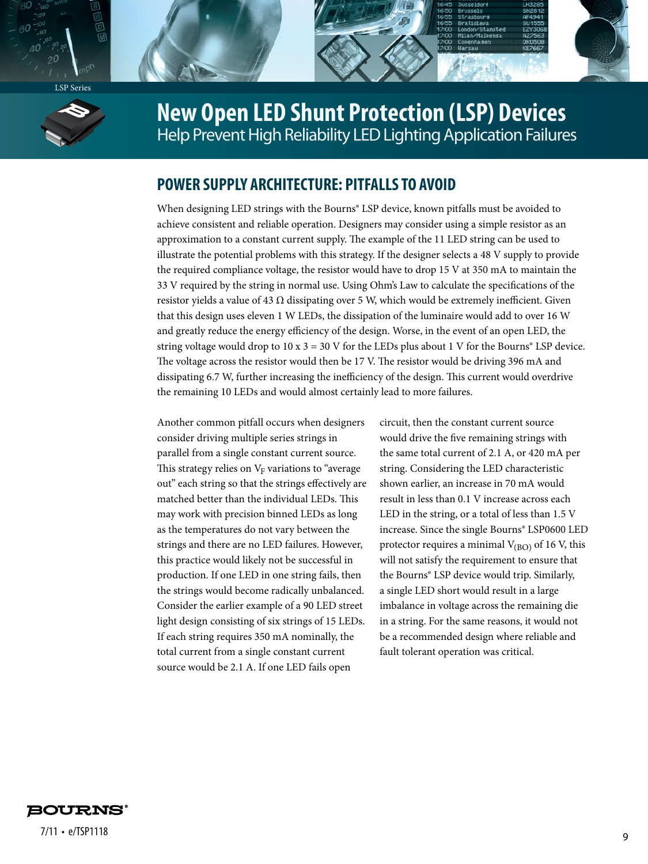



## **New Open LED Shunt Protection (LSP) Devices**  Help Prevent High Reliability LED Lighting Application Failures

### **POWER SUPPLY ARCHITECTURE: PITFALLS TO AVOID**

When designing LED strings with the Bourns® LSP device, known pitfalls must be avoided to achieve consistent and reliable operation. Designers may consider using a simple resistor as an approximation to a constant current supply. The example of the 11 LED string can be used to illustrate the potential problems with this strategy. If the designer selects a 48 V supply to provide the required compliance voltage, the resistor would have to drop 15 V at 350 mA to maintain the 33 V required by the string in normal use. Using Ohm's Law to calculate the specifications of the resistor yields a value of 43  $\Omega$  dissipating over 5 W, which would be extremely inefficient. Given that this design uses eleven 1 W LEDs, the dissipation of the luminaire would add to over 16 W and greatly reduce the energy efficiency of the design. Worse, in the event of an open LED, the string voltage would drop to  $10 \times 3 = 30$  V for the LEDs plus about 1 V for the Bourns<sup>®</sup> LSP device. The voltage across the resistor would then be 17 V. The resistor would be driving 396 mA and dissipating 6.7 W, further increasing the inefficiency of the design. This current would overdrive the remaining 10 LEDs and would almost certainly lead to more failures.

Another common pitfall occurs when designers consider driving multiple series strings in parallel from a single constant current source. This strategy relies on  $V_F$  variations to "average" out" each string so that the strings effectively are matched better than the individual LEDs. This may work with precision binned LEDs as long as the temperatures do not vary between the strings and there are no LED failures. However, this practice would likely not be successful in production. If one LED in one string fails, then the strings would become radically unbalanced. Consider the earlier example of a 90 LED street light design consisting of six strings of 15 LEDs. If each string requires 350 mA nominally, the total current from a single constant current source would be 2.1 A. If one LED fails open

circuit, then the constant current source would drive the five remaining strings with the same total current of 2.1 A, or 420 mA per string. Considering the LED characteristic shown earlier, an increase in 70 mA would result in less than 0.1 V increase across each LED in the string, or a total of less than 1.5 V increase. Since the single Bourns® LSP0600 LED protector requires a minimal  $V_{(BO)}$  of 16 V, this will not satisfy the requirement to ensure that the Bourns® LSP device would trip. Similarly, a single LED short would result in a large imbalance in voltage across the remaining die in a string. For the same reasons, it would not be a recommended design where reliable and fault tolerant operation was critical.